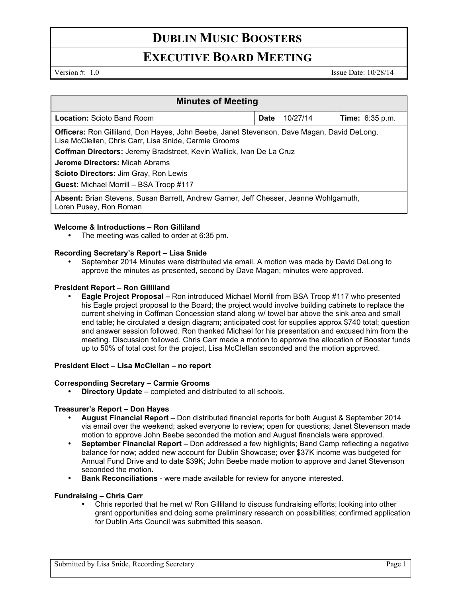# **DUBLIN MUSIC BOOSTERS**

## **EXECUTIVE BOARD MEETING**

Version #: 1.0 Issue Date: 10/28/14

| <b>Minutes of Meeting</b>                                                                                                                                  |             |          |                        |
|------------------------------------------------------------------------------------------------------------------------------------------------------------|-------------|----------|------------------------|
| Location: Scioto Band Room                                                                                                                                 | <b>Date</b> | 10/27/14 | <b>Time:</b> 6:35 p.m. |
| <b>Officers:</b> Ron Gilliland, Don Hayes, John Beebe, Janet Stevenson, Dave Magan, David DeLong,<br>Lisa McClellan, Chris Carr, Lisa Snide, Carmie Grooms |             |          |                        |
| Coffman Directors: Jeremy Bradstreet, Kevin Wallick, Ivan De La Cruz                                                                                       |             |          |                        |
| <b>Jerome Directors:</b> Micah Abrams                                                                                                                      |             |          |                        |
| Scioto Directors: Jim Gray, Ron Lewis                                                                                                                      |             |          |                        |
| Guest: Michael Morrill - BSA Troop #117                                                                                                                    |             |          |                        |
| Absent: Brian Stevens, Susan Barrett, Andrew Garner, Jeff Chesser, Jeanne Wohlgamuth,<br>Loren Pusey, Ron Roman                                            |             |          |                        |

### **Welcome & Introductions – Ron Gilliland**

The meeting was called to order at 6:35 pm.

### **Recording Secretary's Report – Lisa Snide**

• September 2014 Minutes were distributed via email. A motion was made by David DeLong to approve the minutes as presented, second by Dave Magan; minutes were approved.

### **President Report – Ron Gilliland**

• **Eagle Project Proposal –** Ron introduced Michael Morrill from BSA Troop #117 who presented his Eagle project proposal to the Board; the project would involve building cabinets to replace the current shelving in Coffman Concession stand along w/ towel bar above the sink area and small end table; he circulated a design diagram; anticipated cost for supplies approx \$740 total; question and answer session followed. Ron thanked Michael for his presentation and excused him from the meeting. Discussion followed. Chris Carr made a motion to approve the allocation of Booster funds up to 50% of total cost for the project, Lisa McClellan seconded and the motion approved.

### **President Elect – Lisa McClellan – no report**

### **Corresponding Secretary – Carmie Grooms**

• **Directory Update** – completed and distributed to all schools.

### **Treasurer's Report – Don Hayes**

- **August Financial Report** Don distributed financial reports for both August & September 2014 via email over the weekend; asked everyone to review; open for questions; Janet Stevenson made motion to approve John Beebe seconded the motion and August financials were approved.
- **September Financial Report** Don addressed a few highlights; Band Camp reflecting a negative balance for now; added new account for Dublin Showcase; over \$37K income was budgeted for Annual Fund Drive and to date \$39K; John Beebe made motion to approve and Janet Stevenson seconded the motion.
- **Bank Reconciliations**  were made available for review for anyone interested.

### **Fundraising – Chris Carr**

• Chris reported that he met w/ Ron Gilliland to discuss fundraising efforts; looking into other grant opportunities and doing some preliminary research on possibilities; confirmed application for Dublin Arts Council was submitted this season.